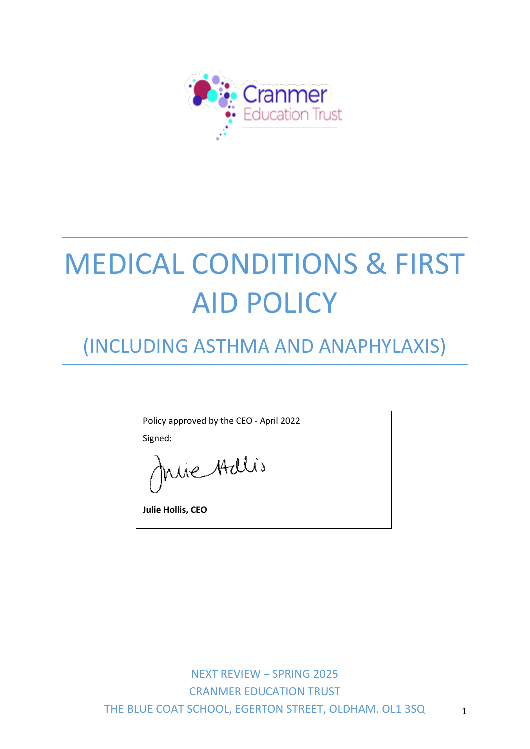

# MEDICAL CONDITIONS & FIRST AID POLICY

## (INCLUDING ASTHMA AND ANAPHYLAXIS)

Policy approved by the CEO - April 2022

Signed:

nue Adlis

**Julie Hollis, CEO**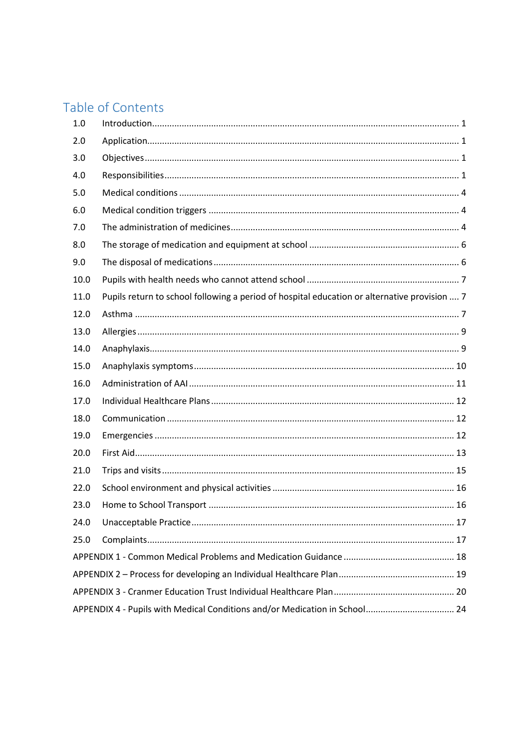## Table of Contents

| 1.0  |                                                                                              |  |  |  |
|------|----------------------------------------------------------------------------------------------|--|--|--|
| 2.0  |                                                                                              |  |  |  |
| 3.0  |                                                                                              |  |  |  |
| 4.0  |                                                                                              |  |  |  |
| 5.0  |                                                                                              |  |  |  |
| 6.0  |                                                                                              |  |  |  |
| 7.0  |                                                                                              |  |  |  |
| 8.0  |                                                                                              |  |  |  |
| 9.0  |                                                                                              |  |  |  |
| 10.0 |                                                                                              |  |  |  |
| 11.0 | Pupils return to school following a period of hospital education or alternative provision  7 |  |  |  |
| 12.0 |                                                                                              |  |  |  |
| 13.0 |                                                                                              |  |  |  |
| 14.0 |                                                                                              |  |  |  |
| 15.0 |                                                                                              |  |  |  |
| 16.0 |                                                                                              |  |  |  |
| 17.0 |                                                                                              |  |  |  |
| 18.0 |                                                                                              |  |  |  |
| 19.0 |                                                                                              |  |  |  |
| 20.0 |                                                                                              |  |  |  |
| 21.0 |                                                                                              |  |  |  |
| 22.0 |                                                                                              |  |  |  |
| 23.0 |                                                                                              |  |  |  |
| 24.0 |                                                                                              |  |  |  |
| 25.0 |                                                                                              |  |  |  |
|      |                                                                                              |  |  |  |
|      |                                                                                              |  |  |  |
|      |                                                                                              |  |  |  |
|      | APPENDIX 4 - Pupils with Medical Conditions and/or Medication in School 24                   |  |  |  |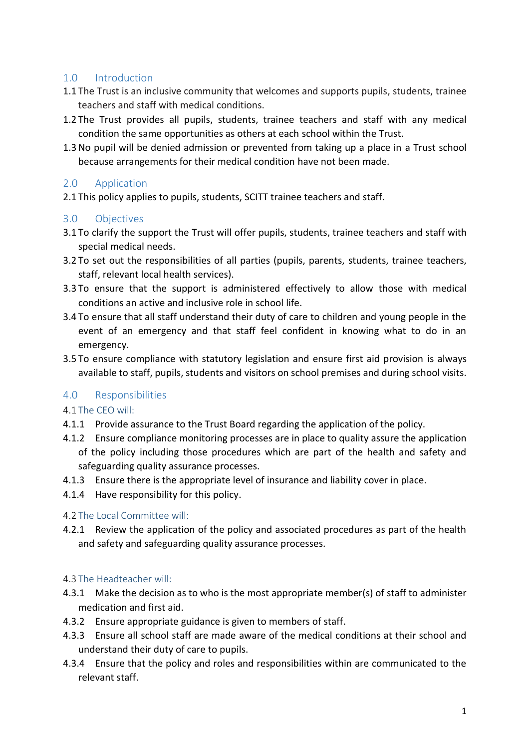#### <span id="page-2-0"></span>1.0 Introduction

- 1.1 The Trust is an inclusive community that welcomes and supports pupils, students, trainee teachers and staff with medical conditions.
- 1.2 The Trust provides all pupils, students, trainee teachers and staff with any medical condition the same opportunities as others at each school within the Trust.
- 1.3No pupil will be denied admission or prevented from taking up a place in a Trust school because arrangements for their medical condition have not been made.

#### <span id="page-2-1"></span>2.0 Application

2.1 This policy applies to pupils, students, SCITT trainee teachers and staff.

#### <span id="page-2-2"></span>3.0 Objectives

- 3.1 To clarify the support the Trust will offer pupils, students, trainee teachers and staff with special medical needs.
- 3.2 To set out the responsibilities of all parties (pupils, parents, students, trainee teachers, staff, relevant local health services).
- 3.3 To ensure that the support is administered effectively to allow those with medical conditions an active and inclusive role in school life.
- 3.4 To ensure that all staff understand their duty of care to children and young people in the event of an emergency and that staff feel confident in knowing what to do in an emergency.
- 3.5 To ensure compliance with statutory legislation and ensure first aid provision is always available to staff, pupils, students and visitors on school premises and during school visits.

#### <span id="page-2-3"></span>4.0 Responsibilities

#### 4.1 The CEO will:

- 4.1.1 Provide assurance to the Trust Board regarding the application of the policy.
- 4.1.2 Ensure compliance monitoring processes are in place to quality assure the application of the policy including those procedures which are part of the health and safety and safeguarding quality assurance processes.
- 4.1.3 Ensure there is the appropriate level of insurance and liability cover in place.
- 4.1.4 Have responsibility for this policy.

#### 4.2 The Local Committee will:

4.2.1 Review the application of the policy and associated procedures as part of the health and safety and safeguarding quality assurance processes.

#### 4.3 The Headteacher will:

- 4.3.1 Make the decision as to who is the most appropriate member(s) of staff to administer medication and first aid.
- 4.3.2 Ensure appropriate guidance is given to members of staff.
- 4.3.3 Ensure all school staff are made aware of the medical conditions at their school and understand their duty of care to pupils.
- 4.3.4 Ensure that the policy and roles and responsibilities within are communicated to the relevant staff.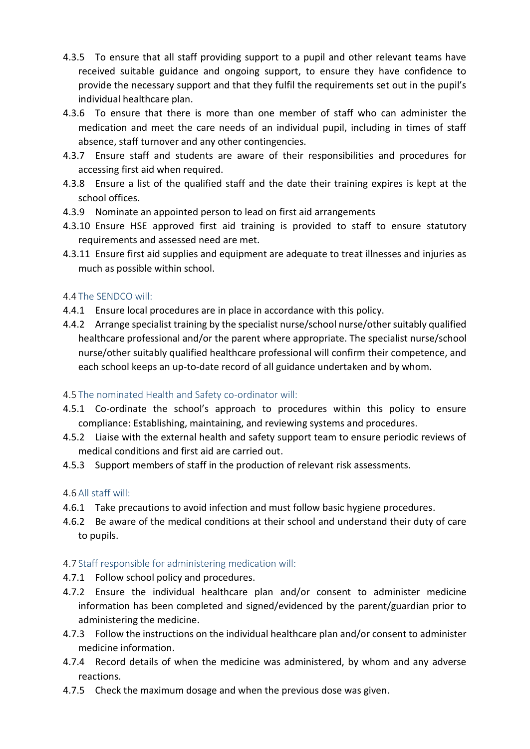- 4.3.5 To ensure that all staff providing support to a pupil and other relevant teams have received suitable guidance and ongoing support, to ensure they have confidence to provide the necessary support and that they fulfil the requirements set out in the pupil's individual healthcare plan.
- 4.3.6 To ensure that there is more than one member of staff who can administer the medication and meet the care needs of an individual pupil, including in times of staff absence, staff turnover and any other contingencies.
- 4.3.7 Ensure staff and students are aware of their responsibilities and procedures for accessing first aid when required.
- 4.3.8 Ensure a list of the qualified staff and the date their training expires is kept at the school offices.
- 4.3.9 Nominate an appointed person to lead on first aid arrangements
- 4.3.10 Ensure HSE approved first aid training is provided to staff to ensure statutory requirements and assessed need are met.
- 4.3.11 Ensure first aid supplies and equipment are adequate to treat illnesses and injuries as much as possible within school.

#### 4.4 The SENDCO will:

- 4.4.1 Ensure local procedures are in place in accordance with this policy.
- 4.4.2 Arrange specialist training by the specialist nurse/school nurse/other suitably qualified healthcare professional and/or the parent where appropriate. The specialist nurse/school nurse/other suitably qualified healthcare professional will confirm their competence, and each school keeps an up-to-date record of all guidance undertaken and by whom.

#### 4.5 The nominated Health and Safety co-ordinator will:

- 4.5.1 Co-ordinate the school's approach to procedures within this policy to ensure compliance: Establishing, maintaining, and reviewing systems and procedures.
- 4.5.2 Liaise with the external health and safety support team to ensure periodic reviews of medical conditions and first aid are carried out.
- 4.5.3 Support members of staff in the production of relevant risk assessments.

#### 4.6 All staff will:

- 4.6.1 Take precautions to avoid infection and must follow basic hygiene procedures.
- 4.6.2 Be aware of the medical conditions at their school and understand their duty of care to pupils.

#### 4.7 Staff responsible for administering medication will:

- 4.7.1 Follow school policy and procedures.
- 4.7.2 Ensure the individual healthcare plan and/or consent to administer medicine information has been completed and signed/evidenced by the parent/guardian prior to administering the medicine.
- 4.7.3 Follow the instructions on the individual healthcare plan and/or consent to administer medicine information.
- 4.7.4 Record details of when the medicine was administered, by whom and any adverse reactions.
- 4.7.5 Check the maximum dosage and when the previous dose was given.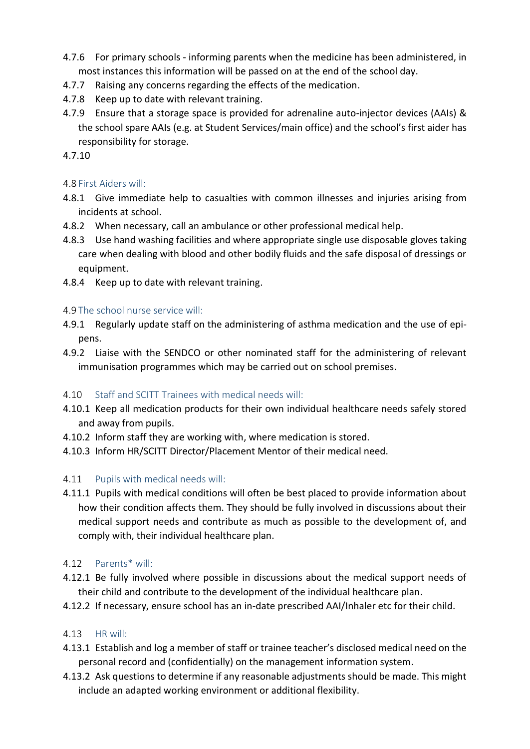- 4.7.6 For primary schools informing parents when the medicine has been administered, in most instances this information will be passed on at the end of the school day.
- 4.7.7 Raising any concerns regarding the effects of the medication.
- 4.7.8 Keep up to date with relevant training.
- 4.7.9 Ensure that a storage space is provided for adrenaline auto-injector devices (AAIs) & the school spare AAIs (e.g. at Student Services/main office) and the school's first aider has responsibility for storage.

4.7.10

#### 4.8 First Aiders will:

- 4.8.1 Give immediate help to casualties with common illnesses and injuries arising from incidents at school.
- 4.8.2 When necessary, call an ambulance or other professional medical help.
- 4.8.3 Use hand washing facilities and where appropriate single use disposable gloves taking care when dealing with blood and other bodily fluids and the safe disposal of dressings or equipment.
- 4.8.4 Keep up to date with relevant training.

#### 4.9 The school nurse service will:

- 4.9.1 Regularly update staff on the administering of asthma medication and the use of epipens.
- 4.9.2 Liaise with the SENDCO or other nominated staff for the administering of relevant immunisation programmes which may be carried out on school premises.

#### 4.10 Staff and SCITT Trainees with medical needs will:

- 4.10.1 Keep all medication products for their own individual healthcare needs safely stored and away from pupils.
- 4.10.2 Inform staff they are working with, where medication is stored.
- 4.10.3 Inform HR/SCITT Director/Placement Mentor of their medical need.

#### 4.11 Pupils with medical needs will:

4.11.1 Pupils with medical conditions will often be best placed to provide information about how their condition affects them. They should be fully involved in discussions about their medical support needs and contribute as much as possible to the development of, and comply with, their individual healthcare plan.

#### 4.12 Parents\* will:

- 4.12.1 Be fully involved where possible in discussions about the medical support needs of their child and contribute to the development of the individual healthcare plan.
- 4.12.2 If necessary, ensure school has an in-date prescribed AAI/Inhaler etc for their child.

#### 4.13 HR will:

- 4.13.1 Establish and log a member of staff or trainee teacher's disclosed medical need on the personal record and (confidentially) on the management information system.
- 4.13.2 Ask questions to determine if any reasonable adjustments should be made. This might include an adapted working environment or additional flexibility.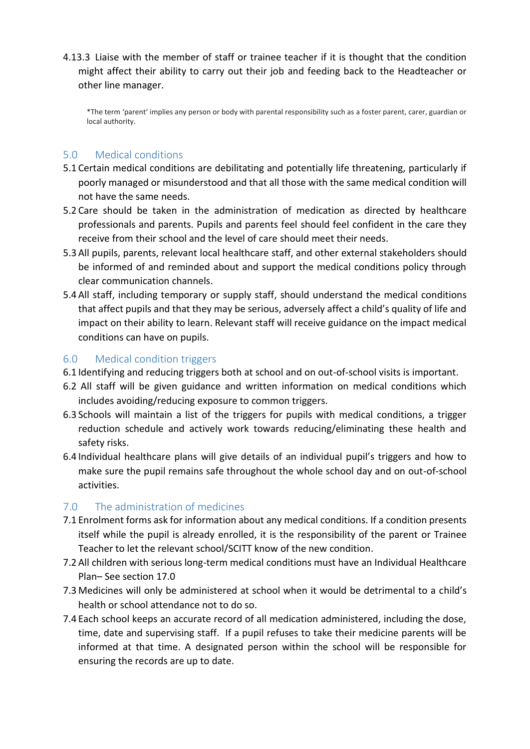4.13.3 Liaise with the member of staff or trainee teacher if it is thought that the condition might affect their ability to carry out their job and feeding back to the Headteacher or other line manager.

\*The term 'parent' implies any person or body with parental responsibility such as a foster parent, carer, guardian or local authority.

#### <span id="page-5-0"></span>5.0 Medical conditions

- 5.1 Certain medical conditions are debilitating and potentially life threatening, particularly if poorly managed or misunderstood and that all those with the same medical condition will not have the same needs.
- 5.2 Care should be taken in the administration of medication as directed by healthcare professionals and parents. Pupils and parents feel should feel confident in the care they receive from their school and the level of care should meet their needs.
- 5.3 All pupils, parents, relevant local healthcare staff, and other external stakeholders should be informed of and reminded about and support the medical conditions policy through clear communication channels.
- 5.4 All staff, including temporary or supply staff, should understand the medical conditions that affect pupils and that they may be serious, adversely affect a child's quality of life and impact on their ability to learn. Relevant staff will receive guidance on the impact medical conditions can have on pupils.

#### <span id="page-5-1"></span>6.0 Medical condition triggers

- 6.1 Identifying and reducing triggers both at school and on out-of-school visits is important.
- 6.2 All staff will be given guidance and written information on medical conditions which includes avoiding/reducing exposure to common triggers.
- 6.3 Schools will maintain a list of the triggers for pupils with medical conditions, a trigger reduction schedule and actively work towards reducing/eliminating these health and safety risks.
- 6.4 Individual healthcare plans will give details of an individual pupil's triggers and how to make sure the pupil remains safe throughout the whole school day and on out-of-school activities.

#### <span id="page-5-2"></span>7.0 The administration of medicines

- 7.1 Enrolment forms ask for information about any medical conditions. If a condition presents itself while the pupil is already enrolled, it is the responsibility of the parent or Trainee Teacher to let the relevant school/SCITT know of the new condition.
- 7.2 All children with serious long-term medical conditions must have an Individual Healthcare Plan– See section [17.0](#page-13-0)
- 7.3 Medicines will only be administered at school when it would be detrimental to a child's health or school attendance not to do so.
- 7.4 Each school keeps an accurate record of all medication administered, including the dose, time, date and supervising staff. If a pupil refuses to take their medicine parents will be informed at that time. A designated person within the school will be responsible for ensuring the records are up to date.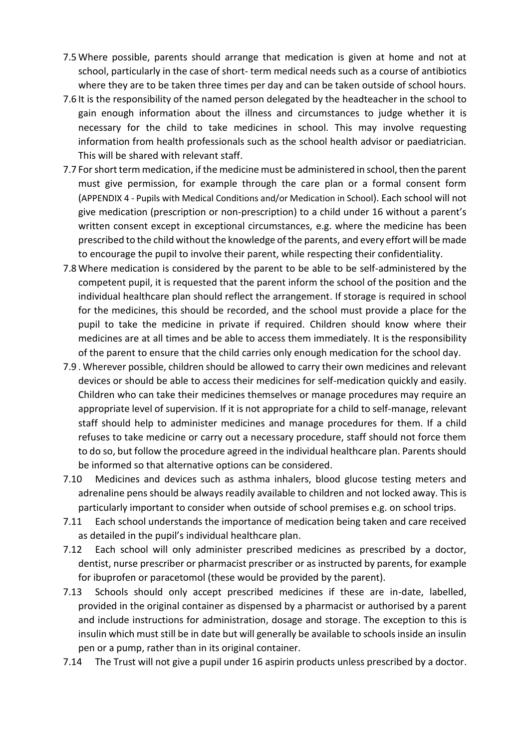- 7.5 Where possible, parents should arrange that medication is given at home and not at school, particularly in the case of short- term medical needs such as a course of antibiotics where they are to be taken three times per day and can be taken outside of school hours.
- 7.6 It is the responsibility of the named person delegated by the headteacher in the school to gain enough information about the illness and circumstances to judge whether it is necessary for the child to take medicines in school. This may involve requesting information from health professionals such as the school health advisor or paediatrician. This will be shared with relevant staff.
- 7.7 For short term medication, if the medicine must be administered in school, then the parent must give permission, for example through the care plan or a formal consent form (APPENDIX 4 - [Pupils with Medical Conditions](#page-25-0) and/or Medication in School). Each school will not give medication (prescription or non-prescription) to a child under 16 without a parent's written consent except in exceptional circumstances, e.g. where the medicine has been prescribed to the child without the knowledge of the parents, and every effort will be made to encourage the pupil to involve their parent, while respecting their confidentiality.
- 7.8 Where medication is considered by the parent to be able to be self-administered by the competent pupil, it is requested that the parent inform the school of the position and the individual healthcare plan should reflect the arrangement. If storage is required in school for the medicines, this should be recorded, and the school must provide a place for the pupil to take the medicine in private if required. Children should know where their medicines are at all times and be able to access them immediately. It is the responsibility of the parent to ensure that the child carries only enough medication for the school day.
- 7.9 . Wherever possible, children should be allowed to carry their own medicines and relevant devices or should be able to access their medicines for self-medication quickly and easily. Children who can take their medicines themselves or manage procedures may require an appropriate level of supervision. If it is not appropriate for a child to self-manage, relevant staff should help to administer medicines and manage procedures for them. If a child refuses to take medicine or carry out a necessary procedure, staff should not force them to do so, but follow the procedure agreed in the individual healthcare plan. Parents should be informed so that alternative options can be considered.
- 7.10 Medicines and devices such as asthma inhalers, blood glucose testing meters and adrenaline pens should be always readily available to children and not locked away. This is particularly important to consider when outside of school premises e.g. on school trips.
- 7.11 Each school understands the importance of medication being taken and care received as detailed in the pupil's individual healthcare plan.
- 7.12 Each school will only administer prescribed medicines as prescribed by a doctor, dentist, nurse prescriber or pharmacist prescriber or as instructed by parents, for example for ibuprofen or paracetomol (these would be provided by the parent).
- 7.13 Schools should only accept prescribed medicines if these are in-date, labelled, provided in the original container as dispensed by a pharmacist or authorised by a parent and include instructions for administration, dosage and storage. The exception to this is insulin which must still be in date but will generally be available to schools inside an insulin pen or a pump, rather than in its original container.
- 7.14 The Trust will not give a pupil under 16 aspirin products unless prescribed by a doctor.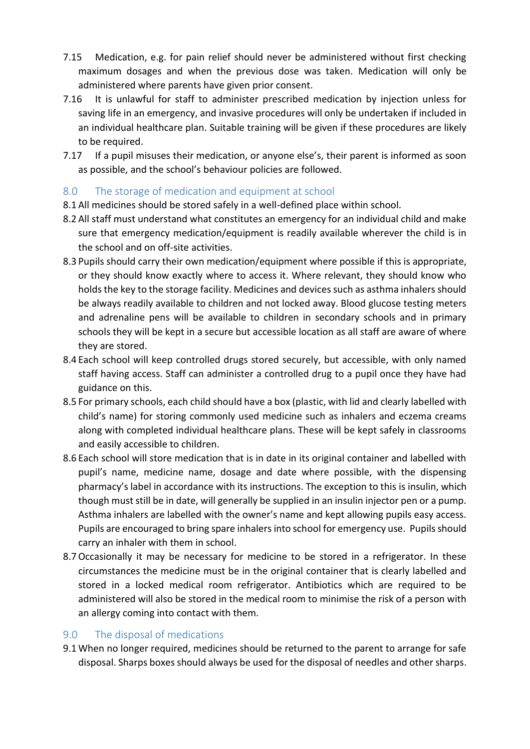- 7.15 Medication, e.g. for pain relief should never be administered without first checking maximum dosages and when the previous dose was taken. Medication will only be administered where parents have given prior consent.
- 7.16 It is unlawful for staff to administer prescribed medication by injection unless for saving life in an emergency, and invasive procedures will only be undertaken if included in an individual healthcare plan. Suitable training will be given if these procedures are likely to be required.
- 7.17 If a pupil misuses their medication, or anyone else's, their parent is informed as soon as possible, and the school's behaviour policies are followed.

#### <span id="page-7-0"></span>8.0 The storage of medication and equipment at school

- 8.1 All medicines should be stored safely in a well-defined place within school.
- 8.2 All staff must understand what constitutes an emergency for an individual child and make sure that emergency medication/equipment is readily available wherever the child is in the school and on off-site activities.
- 8.3 Pupils should carry their own medication/equipment where possible if this is appropriate, or they should know exactly where to access it. Where relevant, they should know who holds the key to the storage facility. Medicines and devices such as asthma inhalers should be always readily available to children and not locked away. Blood glucose testing meters and adrenaline pens will be available to children in secondary schools and in primary schools they will be kept in a secure but accessible location as all staff are aware of where they are stored.
- 8.4 Each school will keep controlled drugs stored securely, but accessible, with only named staff having access. Staff can administer a controlled drug to a pupil once they have had guidance on this.
- 8.5 For primary schools, each child should have a box (plastic, with lid and clearly labelled with child's name) for storing commonly used medicine such as inhalers and eczema creams along with completed individual healthcare plans. These will be kept safely in classrooms and easily accessible to children.
- 8.6 Each school will store medication that is in date in its original container and labelled with pupil's name, medicine name, dosage and date where possible, with the dispensing pharmacy's label in accordance with its instructions. The exception to this is insulin, which though must still be in date, will generally be supplied in an insulin injector pen or a pump. Asthma inhalers are labelled with the owner's name and kept allowing pupils easy access. Pupils are encouraged to bring spare inhalers into school for emergency use. Pupils should carry an inhaler with them in school.
- 8.7Occasionally it may be necessary for medicine to be stored in a refrigerator. In these circumstances the medicine must be in the original container that is clearly labelled and stored in a locked medical room refrigerator. Antibiotics which are required to be administered will also be stored in the medical room to minimise the risk of a person with an allergy coming into contact with them.

#### <span id="page-7-1"></span>9.0 The disposal of medications

9.1 When no longer required, medicines should be returned to the parent to arrange for safe disposal. Sharps boxes should always be used for the disposal of needles and other sharps.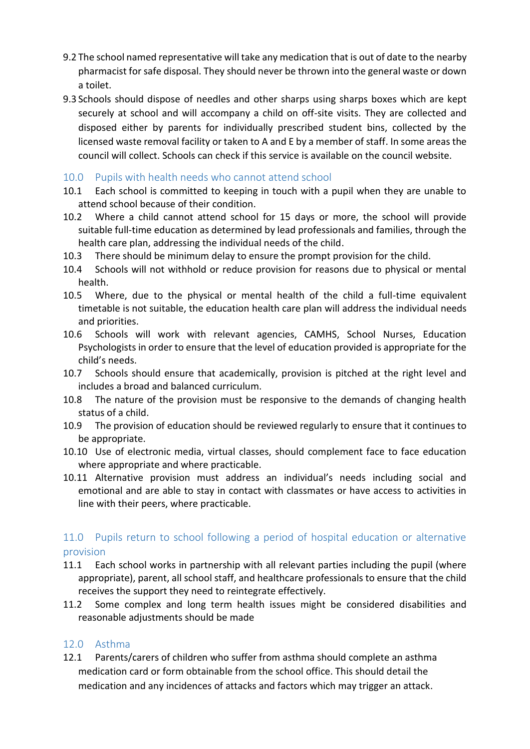- 9.2 The school named representative will take any medication that is out of date to the nearby pharmacist for safe disposal. They should never be thrown into the general waste or down a toilet.
- 9.3 Schools should dispose of needles and other sharps using sharps boxes which are kept securely at school and will accompany a child on off-site visits. They are collected and disposed either by parents for individually prescribed student bins, collected by the licensed waste removal facility or taken to A and E by a member of staff. In some areas the council will collect. Schools can check if this service is available on the council website.

#### <span id="page-8-0"></span>10.0 Pupils with health needs who cannot attend school

- 10.1 Each school is committed to keeping in touch with a pupil when they are unable to attend school because of their condition.
- 10.2 Where a child cannot attend school for 15 days or more, the school will provide suitable full-time education as determined by lead professionals and families, through the health care plan, addressing the individual needs of the child.
- 10.3 There should be minimum delay to ensure the prompt provision for the child.
- 10.4 Schools will not withhold or reduce provision for reasons due to physical or mental health.
- 10.5 Where, due to the physical or mental health of the child a full-time equivalent timetable is not suitable, the education health care plan will address the individual needs and priorities.
- 10.6 Schools will work with relevant agencies, CAMHS, School Nurses, Education Psychologists in order to ensure that the level of education provided is appropriate for the child's needs.
- 10.7 Schools should ensure that academically, provision is pitched at the right level and includes a broad and balanced curriculum.
- 10.8 The nature of the provision must be responsive to the demands of changing health status of a child.
- 10.9 The provision of education should be reviewed regularly to ensure that it continues to be appropriate.
- 10.10 Use of electronic media, virtual classes, should complement face to face education where appropriate and where practicable.
- 10.11 Alternative provision must address an individual's needs including social and emotional and are able to stay in contact with classmates or have access to activities in line with their peers, where practicable.

#### <span id="page-8-1"></span>11.0 Pupils return to school following a period of hospital education or alternative provision

- 11.1 Each school works in partnership with all relevant parties including the pupil (where appropriate), parent, all school staff, and healthcare professionals to ensure that the child receives the support they need to reintegrate effectively.
- 11.2 Some complex and long term health issues might be considered disabilities and reasonable adjustments should be made

#### <span id="page-8-2"></span>12.0 Asthma

12.1 Parents/carers of children who suffer from asthma should complete an asthma medication card or form obtainable from the school office. This should detail the medication and any incidences of attacks and factors which may trigger an attack.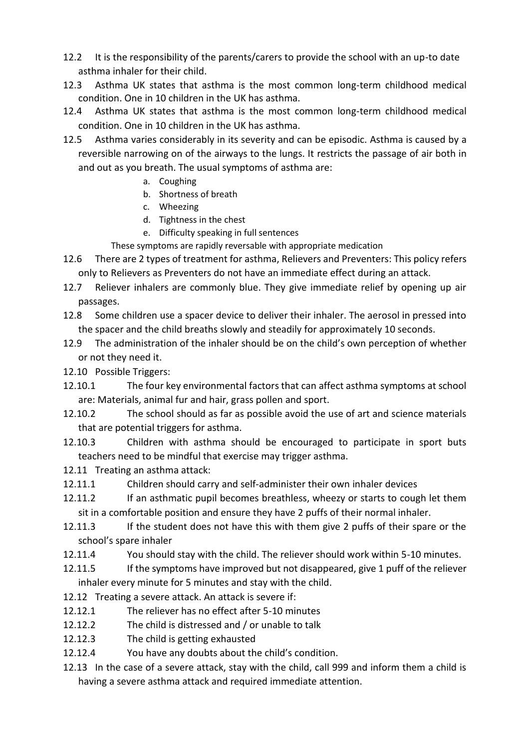- 12.2 It is the responsibility of the parents/carers to provide the school with an up-to date asthma inhaler for their child.
- 12.3 Asthma UK states that asthma is the most common long-term childhood medical condition. One in 10 children in the UK has asthma.
- 12.4 Asthma UK states that asthma is the most common long-term childhood medical condition. One in 10 children in the UK has asthma.
- 12.5 Asthma varies considerably in its severity and can be episodic. Asthma is caused by a reversible narrowing on of the airways to the lungs. It restricts the passage of air both in and out as you breath. The usual symptoms of asthma are:
	- a. Coughing
	- b. Shortness of breath
	- c. Wheezing
	- d. Tightness in the chest
	- e. Difficulty speaking in full sentences
	- These symptoms are rapidly reversable with appropriate medication
- 12.6 There are 2 types of treatment for asthma, Relievers and Preventers: This policy refers only to Relievers as Preventers do not have an immediate effect during an attack.
- 12.7 Reliever inhalers are commonly blue. They give immediate relief by opening up air passages.
- 12.8 Some children use a spacer device to deliver their inhaler. The aerosol in pressed into the spacer and the child breaths slowly and steadily for approximately 10 seconds.
- 12.9 The administration of the inhaler should be on the child's own perception of whether or not they need it.
- 12.10 Possible Triggers:
- 12.10.1 The four key environmental factors that can affect asthma symptoms at school are: Materials, animal fur and hair, grass pollen and sport.
- 12.10.2 The school should as far as possible avoid the use of art and science materials that are potential triggers for asthma.
- 12.10.3 Children with asthma should be encouraged to participate in sport buts teachers need to be mindful that exercise may trigger asthma.
- 12.11 Treating an asthma attack:
- 12.11.1 Children should carry and self-administer their own inhaler devices
- 12.11.2 If an asthmatic pupil becomes breathless, wheezy or starts to cough let them sit in a comfortable position and ensure they have 2 puffs of their normal inhaler.
- 12.11.3 If the student does not have this with them give 2 puffs of their spare or the school's spare inhaler
- 12.11.4 You should stay with the child. The reliever should work within 5-10 minutes.
- 12.11.5 If the symptoms have improved but not disappeared, give 1 puff of the reliever inhaler every minute for 5 minutes and stay with the child.
- 12.12 Treating a severe attack. An attack is severe if:
- 12.12.1 The reliever has no effect after 5-10 minutes
- 12.12.2 The child is distressed and / or unable to talk
- 12.12.3 The child is getting exhausted
- 12.12.4 You have any doubts about the child's condition.
- 12.13 In the case of a severe attack, stay with the child, call 999 and inform them a child is having a severe asthma attack and required immediate attention.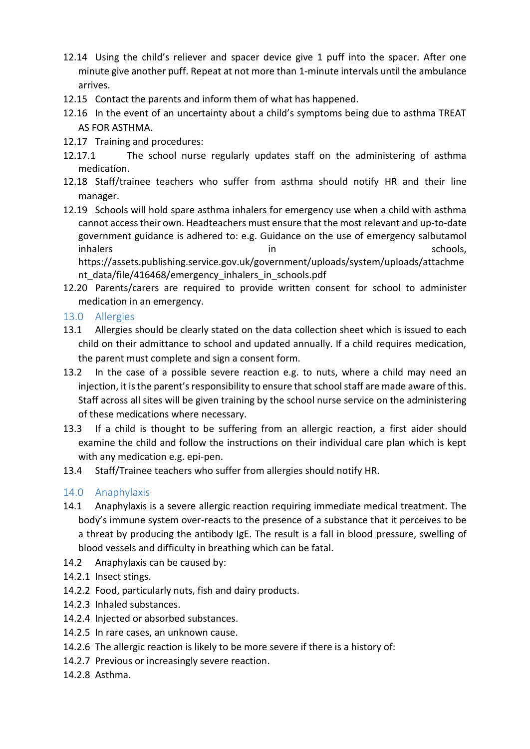- 12.14 Using the child's reliever and spacer device give 1 puff into the spacer. After one minute give another puff. Repeat at not more than 1-minute intervals until the ambulance arrives.
- 12.15 Contact the parents and inform them of what has happened.
- 12.16 In the event of an uncertainty about a child's symptoms being due to asthma TREAT AS FOR ASTHMA.
- 12.17 Training and procedures:
- 12.17.1 The school nurse regularly updates staff on the administering of asthma medication.
- 12.18 Staff/trainee teachers who suffer from asthma should notify HR and their line manager.
- <span id="page-10-2"></span>12.19 Schools will hold spare asthma inhalers for emergency use when a child with asthma cannot access their own. Headteachers must ensure that the most relevant and up-to-date government guidance is adhered to: e.g. Guidance on the use of emergency salbutamol inhalers in schools, in the schools, in the schools, in the schools, in the schools, in the schools, in the schools, [https://assets.publishing.service.gov.uk/government/uploads/system/uploads/attachme](https://assets.publishing.service.gov.uk/government/uploads/system/uploads/attachment_data/file/416468/emergency_inhalers_in_schools.pdf) nt data/file/416468/emergency inhalers in schools.pdf
- 12.20 Parents/carers are required to provide written consent for school to administer medication in an emergency.
- <span id="page-10-0"></span>13.0 Allergies
- 13.1 Allergies should be clearly stated on the data collection sheet which is issued to each child on their admittance to school and updated annually. If a child requires medication, the parent must complete and sign a consent form.
- 13.2 In the case of a possible severe reaction e.g. to nuts, where a child may need an injection, it is the parent's responsibility to ensure that school staff are made aware of this. Staff across all sites will be given training by the school nurse service on the administering of these medications where necessary.
- 13.3 If a child is thought to be suffering from an allergic reaction, a first aider should examine the child and follow the instructions on their individual care plan which is kept with any medication e.g. epi-pen.
- 13.4 Staff/Trainee teachers who suffer from allergies should notify HR.

#### <span id="page-10-1"></span>14.0 Anaphylaxis

- 14.1 Anaphylaxis is a severe allergic reaction requiring immediate medical treatment. The body's immune system over-reacts to the presence of a substance that it perceives to be a threat by producing the antibody IgE. The result is a fall in blood pressure, swelling of blood vessels and difficulty in breathing which can be fatal.
- 14.2 Anaphylaxis can be caused by:
- 14.2.1 Insect stings.
- 14.2.2 Food, particularly nuts, fish and dairy products.
- 14.2.3 Inhaled substances.
- 14.2.4 Injected or absorbed substances.
- 14.2.5 In rare cases, an unknown cause.
- 14.2.6 The allergic reaction is likely to be more severe if there is a history of:
- 14.2.7 Previous or increasingly severe reaction.
- 14.2.8 Asthma.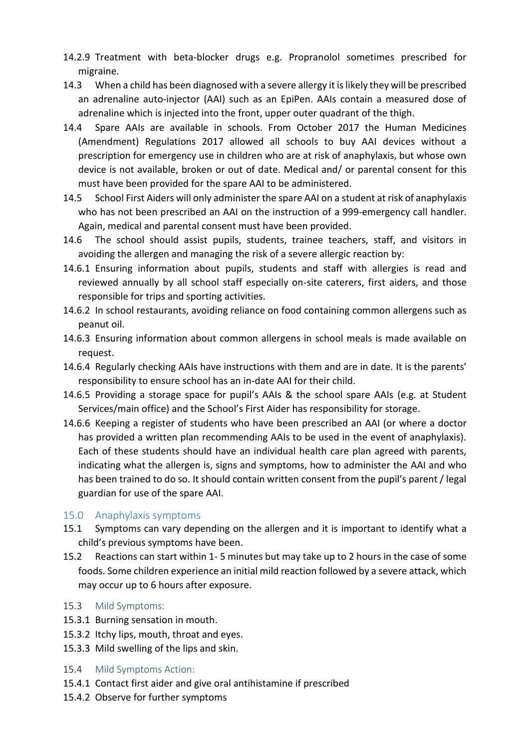- 14.2.9 Treatment with beta-blocker drugs e.g. Propranolol sometimes prescribed for migraine.
- 14.3 When a child has been diagnosed with a severe allergy it is likely they will be prescribed an adrenaline auto-injector (AAI) such as an EpiPen. AAIs contain a measured dose of adrenaline which is injected into the front, upper outer quadrant of the thigh.
- 14.4 Spare AAIs are available in schools. From October 2017 the Human Medicines (Amendment) Regulations 2017 allowed all schools to buy AAI devices without a prescription for emergency use in children who are at risk of anaphylaxis, but whose own device is not available, broken or out of date. Medical and/ or parental consent for this must have been provided for the spare AAI to be administered.
- 14.5 School First Aiders will only administer the spare AAI on a student at risk of anaphylaxis who has not been prescribed an AAI on the instruction of a 999-emergency call handler. Again, medical and parental consent must have been provided.
- 14.6 The school should assist pupils, students, trainee teachers, staff, and visitors in avoiding the allergen and managing the risk of a severe allergic reaction by:
- 14.6.1 Ensuring information about pupils, students and staff with allergies is read and reviewed annually by all school staff especially on-site caterers, first aiders, and those responsible for trips and sporting activities.
- 14.6.2 In school restaurants, avoiding reliance on food containing common allergens such as peanut oil.
- 14.6.3 Ensuring information about common allergens in school meals is made available on request.
- 14.6.4 Regularly checking AAIs have instructions with them and are in date. It is the parents' responsibility to ensure school has an in-date AAI for their child.
- 14.6.5 Providing a storage space for pupil's AAIs & the school spare AAIs (e.g. at Student Services/main office) and the School's First Aider has responsibility for storage.
- 14.6.6 Keeping a register of students who have been prescribed an AAI (or where a doctor has provided a written plan recommending AAIs to be used in the event of anaphylaxis). Each of these students should have an individual health care plan agreed with parents, indicating what the allergen is, signs and symptoms, how to administer the AAI and who has been trained to do so. It should contain written consent from the pupil's parent / legal guardian for use of the spare AAI.

#### <span id="page-11-0"></span>15.0 Anaphylaxis symptoms

- 15.1 Symptoms can vary depending on the allergen and it is important to identify what a child's previous symptoms have been.
- 15.2 Reactions can start within 1- 5 minutes but may take up to 2 hours in the case of some foods. Some children experience an initial mild reaction followed by a severe attack, which may occur up to 6 hours after exposure.

#### 15.3 Mild Symptoms:

- 15.3.1 Burning sensation in mouth.
- 15.3.2 Itchy lips, mouth, throat and eyes.
- 15.3.3 Mild swelling of the lips and skin.
- 15.4 Mild Symptoms Action:
- 15.4.1 Contact first aider and give oral antihistamine if prescribed
- 15.4.2 Observe for further symptoms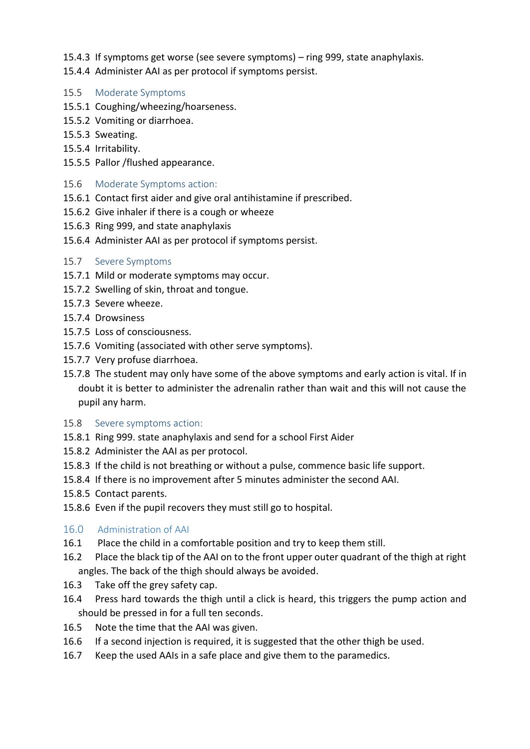- 15.4.3 If symptoms get worse (see severe symptoms) ring 999, state anaphylaxis.
- 15.4.4 Administer AAI as per protocol if symptoms persist.
- 15.5 Moderate Symptoms
- 15.5.1 Coughing/wheezing/hoarseness.
- 15.5.2 Vomiting or diarrhoea.
- 15.5.3 Sweating.
- 15.5.4 Irritability.
- 15.5.5 Pallor /flushed appearance.
- 15.6 Moderate Symptoms action:
- 15.6.1 Contact first aider and give oral antihistamine if prescribed.
- 15.6.2 Give inhaler if there is a cough or wheeze
- 15.6.3 Ring 999, and state anaphylaxis
- 15.6.4 Administer AAI as per protocol if symptoms persist.
- 15.7 Severe Symptoms
- 15.7.1 Mild or moderate symptoms may occur.
- 15.7.2 Swelling of skin, throat and tongue.
- 15.7.3 Severe wheeze.
- 15.7.4 Drowsiness
- 15.7.5 Loss of consciousness.
- 15.7.6 Vomiting (associated with other serve symptoms).
- 15.7.7 Very profuse diarrhoea.
- 15.7.8 The student may only have some of the above symptoms and early action is vital. If in doubt it is better to administer the adrenalin rather than wait and this will not cause the pupil any harm.
- 15.8 Severe symptoms action:
- 15.8.1 Ring 999. state anaphylaxis and send for a school First Aider
- 15.8.2 Administer the AAI as per protocol.
- 15.8.3 If the child is not breathing or without a pulse, commence basic life support.
- 15.8.4 If there is no improvement after 5 minutes administer the second AAI.
- 15.8.5 Contact parents.
- 15.8.6 Even if the pupil recovers they must still go to hospital.

#### <span id="page-12-0"></span>16.0 Administration of AAI

- 16.1 Place the child in a comfortable position and try to keep them still.
- 16.2 Place the black tip of the AAI on to the front upper outer quadrant of the thigh at right angles. The back of the thigh should always be avoided.
- 16.3 Take off the grey safety cap.
- 16.4 Press hard towards the thigh until a click is heard, this triggers the pump action and should be pressed in for a full ten seconds.
- 16.5 Note the time that the AAI was given.
- 16.6 If a second injection is required, it is suggested that the other thigh be used.
- 16.7 Keep the used AAIs in a safe place and give them to the paramedics.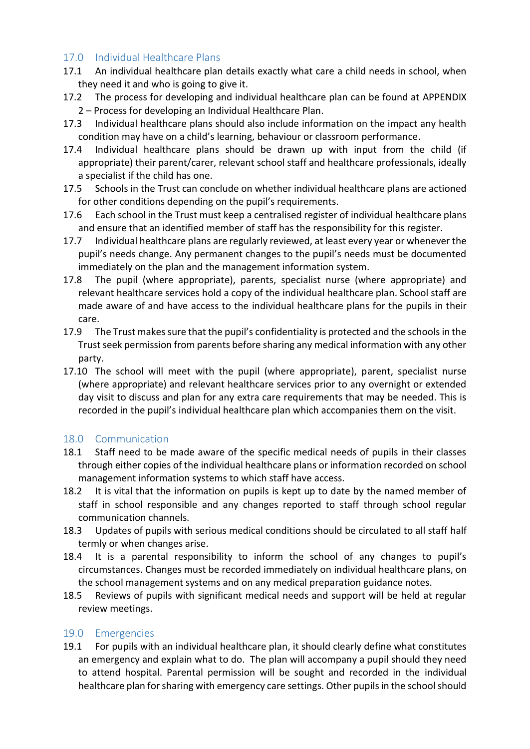#### <span id="page-13-0"></span>17.0 Individual Healthcare Plans

- 17.1 An individual healthcare plan details exactly what care a child needs in school, when they need it and who is going to give it.
- 17.2 The process for developing and individual healthcare plan can be found at [APPENDIX](#page-20-0) 2 – [Process for developing an Individual Healthcare Plan.](#page-20-0)
- 17.3 Individual healthcare plans should also include information on the impact any health condition may have on a child's learning, behaviour or classroom performance.
- 17.4 Individual healthcare plans should be drawn up with input from the child (if appropriate) their parent/carer, relevant school staff and healthcare professionals, ideally a specialist if the child has one.
- 17.5 Schools in the Trust can conclude on whether individual healthcare plans are actioned for other conditions depending on the pupil's requirements.
- 17.6 Each school in the Trust must keep a centralised register of individual healthcare plans and ensure that an identified member of staff has the responsibility for this register.
- 17.7 Individual healthcare plans are regularly reviewed, at least every year or whenever the pupil's needs change. Any permanent changes to the pupil's needs must be documented immediately on the plan and the management information system.
- 17.8 The pupil (where appropriate), parents, specialist nurse (where appropriate) and relevant healthcare services hold a copy of the individual healthcare plan. School staff are made aware of and have access to the individual healthcare plans for the pupils in their care.
- 17.9 The Trust makes sure that the pupil's confidentiality is protected and the schools in the Trust seek permission from parents before sharing any medical information with any other party.
- 17.10 The school will meet with the pupil (where appropriate), parent, specialist nurse (where appropriate) and relevant healthcare services prior to any overnight or extended day visit to discuss and plan for any extra care requirements that may be needed. This is recorded in the pupil's individual healthcare plan which accompanies them on the visit.

#### <span id="page-13-1"></span>18.0 Communication

- 18.1 Staff need to be made aware of the specific medical needs of pupils in their classes through either copies of the individual healthcare plans or information recorded on school management information systems to which staff have access.
- 18.2 It is vital that the information on pupils is kept up to date by the named member of staff in school responsible and any changes reported to staff through school regular communication channels.
- 18.3 Updates of pupils with serious medical conditions should be circulated to all staff half termly or when changes arise.
- 18.4 It is a parental responsibility to inform the school of any changes to pupil's circumstances. Changes must be recorded immediately on individual healthcare plans, on the school management systems and on any medical preparation guidance notes.
- 18.5 Reviews of pupils with significant medical needs and support will be held at regular review meetings.

#### <span id="page-13-2"></span>19.0 Emergencies

19.1 For pupils with an individual healthcare plan, it should clearly define what constitutes an emergency and explain what to do. The plan will accompany a pupil should they need to attend hospital. Parental permission will be sought and recorded in the individual healthcare plan for sharing with emergency care settings. Other pupils in the school should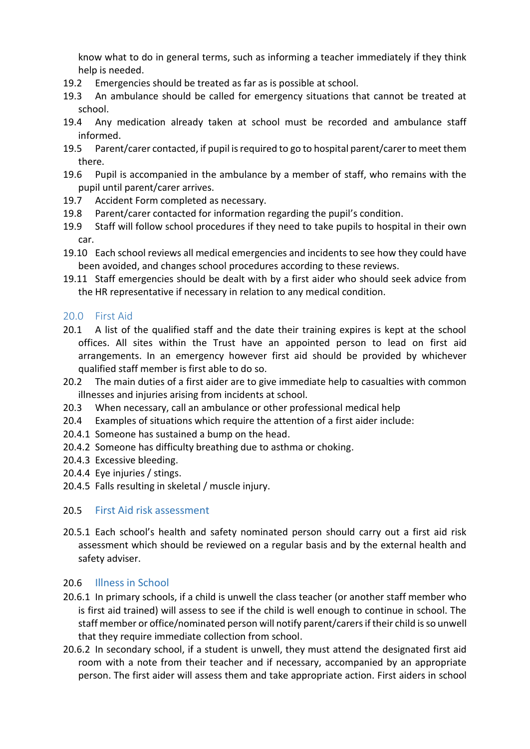know what to do in general terms, such as informing a teacher immediately if they think help is needed.

- 19.2 Emergencies should be treated as far as is possible at school.
- 19.3 An ambulance should be called for emergency situations that cannot be treated at school.
- 19.4 Any medication already taken at school must be recorded and ambulance staff informed.
- 19.5 Parent/carer contacted, if pupil is required to go to hospital parent/carer to meet them there.
- 19.6 Pupil is accompanied in the ambulance by a member of staff, who remains with the pupil until parent/carer arrives.
- 19.7 Accident Form completed as necessary.
- 19.8 Parent/carer contacted for information regarding the pupil's condition.
- 19.9 Staff will follow school procedures if they need to take pupils to hospital in their own car.
- 19.10 Each school reviews all medical emergencies and incidents to see how they could have been avoided, and changes school procedures according to these reviews.
- 19.11 Staff emergencies should be dealt with by a first aider who should seek advice from the HR representative if necessary in relation to any medical condition.

#### <span id="page-14-0"></span>20.0 First Aid

- 20.1 A list of the qualified staff and the date their training expires is kept at the school offices. All sites within the Trust have an appointed person to lead on first aid arrangements. In an emergency however first aid should be provided by whichever qualified staff member is first able to do so.
- 20.2 The main duties of a first aider are to give immediate help to casualties with common illnesses and injuries arising from incidents at school.
- 20.3 When necessary, call an ambulance or other professional medical help
- 20.4 Examples of situations which require the attention of a first aider include:
- 20.4.1 Someone has sustained a bump on the head.
- 20.4.2 Someone has difficulty breathing due to asthma or choking.
- 20.4.3 Excessive bleeding.
- 20.4.4 Eye injuries / stings.
- 20.4.5 Falls resulting in skeletal / muscle injury.

#### 20.5 First Aid risk assessment

20.5.1 Each school's health and safety nominated person should carry out a first aid risk assessment which should be reviewed on a regular basis and by the external health and safety adviser.

#### 20.6 Illness in School

- 20.6.1 In primary schools, if a child is unwell the class teacher (or another staff member who is first aid trained) will assess to see if the child is well enough to continue in school. The staff member or office/nominated person will notify parent/carers if their child is so unwell that they require immediate collection from school.
- 20.6.2 In secondary school, if a student is unwell, they must attend the designated first aid room with a note from their teacher and if necessary, accompanied by an appropriate person. The first aider will assess them and take appropriate action. First aiders in school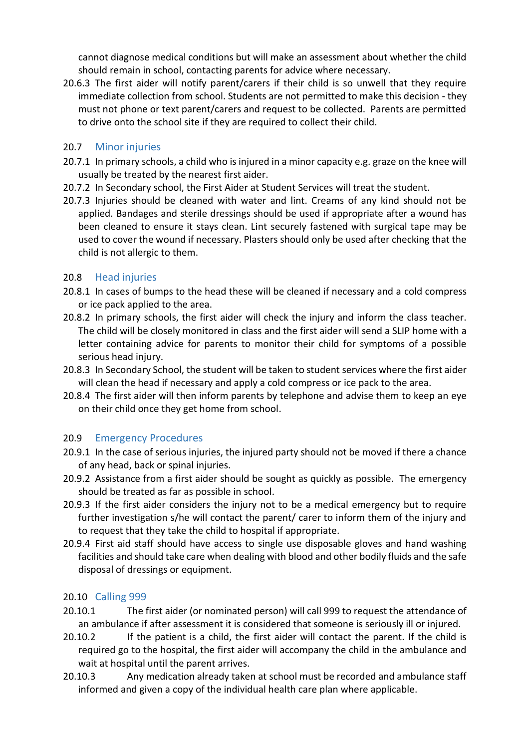cannot diagnose medical conditions but will make an assessment about whether the child should remain in school, contacting parents for advice where necessary.

20.6.3 The first aider will notify parent/carers if their child is so unwell that they require immediate collection from school. Students are not permitted to make this decision - they must not phone or text parent/carers and request to be collected. Parents are permitted to drive onto the school site if they are required to collect their child.

#### 20.7 Minor injuries

- 20.7.1 In primary schools, a child who is injured in a minor capacity e.g. graze on the knee will usually be treated by the nearest first aider.
- 20.7.2 In Secondary school, the First Aider at Student Services will treat the student.
- 20.7.3 Injuries should be cleaned with water and lint. Creams of any kind should not be applied. Bandages and sterile dressings should be used if appropriate after a wound has been cleaned to ensure it stays clean. Lint securely fastened with surgical tape may be used to cover the wound if necessary. Plasters should only be used after checking that the child is not allergic to them.

#### 20.8 Head injuries

- 20.8.1 In cases of bumps to the head these will be cleaned if necessary and a cold compress or ice pack applied to the area.
- 20.8.2 In primary schools, the first aider will check the injury and inform the class teacher. The child will be closely monitored in class and the first aider will send a SLIP home with a letter containing advice for parents to monitor their child for symptoms of a possible serious head injury.
- 20.8.3 In Secondary School, the student will be taken to student services where the first aider will clean the head if necessary and apply a cold compress or ice pack to the area.
- 20.8.4 The first aider will then inform parents by telephone and advise them to keep an eye on their child once they get home from school.

#### 20.9 Emergency Procedures

- 20.9.1 In the case of serious injuries, the injured party should not be moved if there a chance of any head, back or spinal injuries.
- 20.9.2 Assistance from a first aider should be sought as quickly as possible. The emergency should be treated as far as possible in school.
- 20.9.3 If the first aider considers the injury not to be a medical emergency but to require further investigation s/he will contact the parent/ carer to inform them of the injury and to request that they take the child to hospital if appropriate.
- 20.9.4 First aid staff should have access to single use disposable gloves and hand washing facilities and should take care when dealing with blood and other bodily fluids and the safe disposal of dressings or equipment.

#### 20.10 Calling 999

- 20.10.1 The first aider (or nominated person) will call 999 to request the attendance of an ambulance if after assessment it is considered that someone is seriously ill or injured.
- 20.10.2 If the patient is a child, the first aider will contact the parent. If the child is required go to the hospital, the first aider will accompany the child in the ambulance and wait at hospital until the parent arrives.
- 20.10.3 Any medication already taken at school must be recorded and ambulance staff informed and given a copy of the individual health care plan where applicable.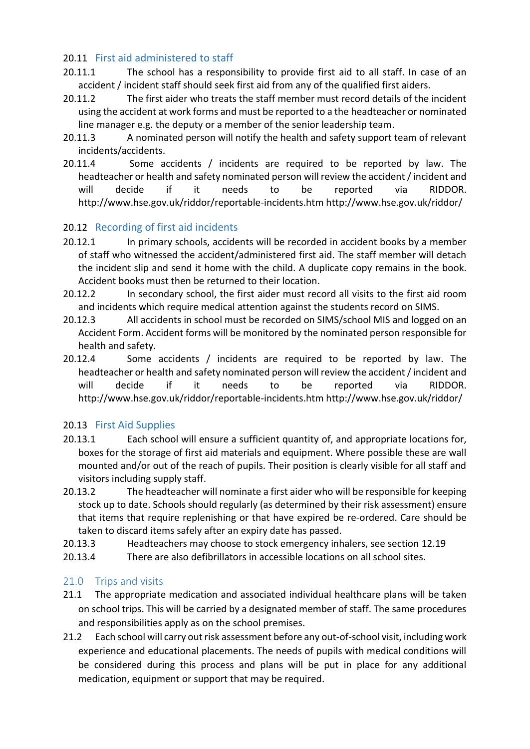#### 20.11 First aid administered to staff

- 20.11.1 The school has a responsibility to provide first aid to all staff. In case of an accident / incident staff should seek first aid from any of the qualified first aiders.
- 20.11.2 The first aider who treats the staff member must record details of the incident using the accident at work forms and must be reported to a the headteacher or nominated line manager e.g. the deputy or a member of the senior leadership team.
- 20.11.3 A nominated person will notify the health and safety support team of relevant incidents/accidents.
- 20.11.4 Some accidents / incidents are required to be reported by law. The headteacher or health and safety nominated person will review the accident / incident and will decide if it needs to be reported via RIDDOR. <http://www.hse.gov.uk/riddor/reportable-incidents.htm> <http://www.hse.gov.uk/riddor/>

#### 20.12 Recording of first aid incidents

- 20.12.1 In primary schools, accidents will be recorded in accident books by a member of staff who witnessed the accident/administered first aid. The staff member will detach the incident slip and send it home with the child. A duplicate copy remains in the book. Accident books must then be returned to their location.
- 20.12.2 In secondary school, the first aider must record all visits to the first aid room and incidents which require medical attention against the students record on SIMS.
- 20.12.3 All accidents in school must be recorded on SIMS/school MIS and logged on an Accident Form. Accident forms will be monitored by the nominated person responsible for health and safety.
- 20.12.4 Some accidents / incidents are required to be reported by law. The headteacher or health and safety nominated person will review the accident / incident and will decide if it needs to be reported via RIDDOR. <http://www.hse.gov.uk/riddor/reportable-incidents.htm> <http://www.hse.gov.uk/riddor/>

#### 20.13 First Aid Supplies

- 20.13.1 Each school will ensure a sufficient quantity of, and appropriate locations for, boxes for the storage of first aid materials and equipment. Where possible these are wall mounted and/or out of the reach of pupils. Their position is clearly visible for all staff and visitors including supply staff.
- 20.13.2 The headteacher will nominate a first aider who will be responsible for keeping stock up to date. Schools should regularly (as determined by their risk assessment) ensure that items that require replenishing or that have expired be re-ordered. Care should be taken to discard items safely after an expiry date has passed.
- 20.13.3 Headteachers may choose to stock emergency inhalers, see section [12.19](#page-10-2)
- 20.13.4 There are also defibrillators in accessible locations on all school sites.

#### <span id="page-16-0"></span>21.0 Trips and visits

- 21.1 The appropriate medication and associated individual healthcare plans will be taken on school trips. This will be carried by a designated member of staff. The same procedures and responsibilities apply as on the school premises.
- 21.2 Each school will carry out risk assessment before any out-of-school visit, including work experience and educational placements. The needs of pupils with medical conditions will be considered during this process and plans will be put in place for any additional medication, equipment or support that may be required.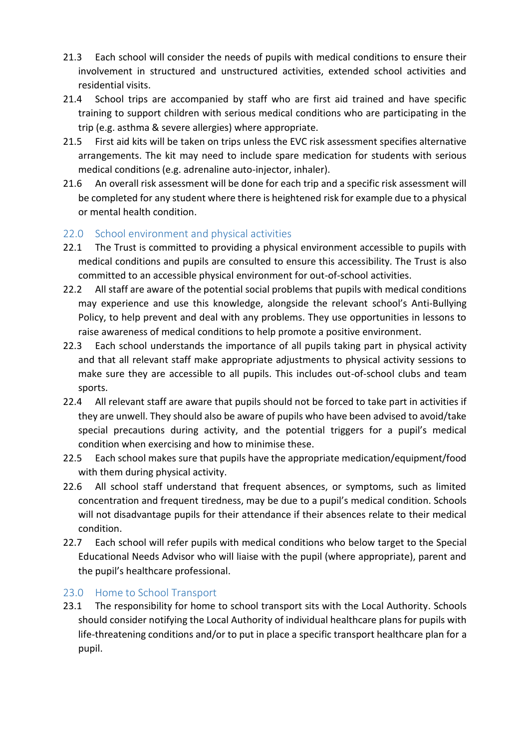- 21.3 Each school will consider the needs of pupils with medical conditions to ensure their involvement in structured and unstructured activities, extended school activities and residential visits.
- 21.4 School trips are accompanied by staff who are first aid trained and have specific training to support children with serious medical conditions who are participating in the trip (e.g. asthma & severe allergies) where appropriate.
- 21.5 First aid kits will be taken on trips unless the EVC risk assessment specifies alternative arrangements. The kit may need to include spare medication for students with serious medical conditions (e.g. adrenaline auto-injector, inhaler).
- 21.6 An overall risk assessment will be done for each trip and a specific risk assessment will be completed for any student where there is heightened risk for example due to a physical or mental health condition.

#### <span id="page-17-0"></span>22.0 School environment and physical activities

- 22.1 The Trust is committed to providing a physical environment accessible to pupils with medical conditions and pupils are consulted to ensure this accessibility. The Trust is also committed to an accessible physical environment for out-of-school activities.
- 22.2 All staff are aware of the potential social problems that pupils with medical conditions may experience and use this knowledge, alongside the relevant school's Anti-Bullying Policy, to help prevent and deal with any problems. They use opportunities in lessons to raise awareness of medical conditions to help promote a positive environment.
- 22.3 Each school understands the importance of all pupils taking part in physical activity and that all relevant staff make appropriate adjustments to physical activity sessions to make sure they are accessible to all pupils. This includes out-of-school clubs and team sports.
- 22.4 All relevant staff are aware that pupils should not be forced to take part in activities if they are unwell. They should also be aware of pupils who have been advised to avoid/take special precautions during activity, and the potential triggers for a pupil's medical condition when exercising and how to minimise these.
- 22.5 Each school makes sure that pupils have the appropriate medication/equipment/food with them during physical activity.
- 22.6 All school staff understand that frequent absences, or symptoms, such as limited concentration and frequent tiredness, may be due to a pupil's medical condition. Schools will not disadvantage pupils for their attendance if their absences relate to their medical condition.
- 22.7 Each school will refer pupils with medical conditions who below target to the Special Educational Needs Advisor who will liaise with the pupil (where appropriate), parent and the pupil's healthcare professional.

#### <span id="page-17-1"></span>23.0 Home to School Transport

23.1 The responsibility for home to school transport sits with the Local Authority. Schools should consider notifying the Local Authority of individual healthcare plans for pupils with life-threatening conditions and/or to put in place a specific transport healthcare plan for a pupil.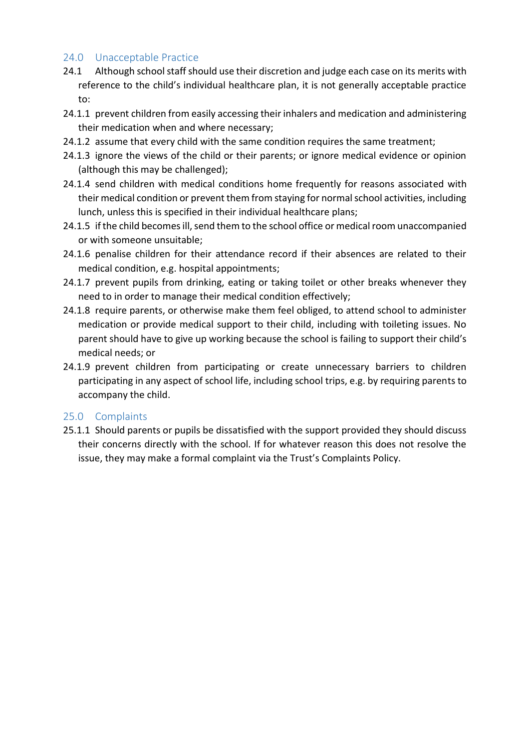#### <span id="page-18-0"></span>24.0 Unacceptable Practice

- 24.1 Although school staff should use their discretion and judge each case on its merits with reference to the child's individual healthcare plan, it is not generally acceptable practice to:
- 24.1.1 prevent children from easily accessing their inhalers and medication and administering their medication when and where necessary;
- 24.1.2 assume that every child with the same condition requires the same treatment;
- 24.1.3 ignore the views of the child or their parents; or ignore medical evidence or opinion (although this may be challenged);
- 24.1.4 send children with medical conditions home frequently for reasons associated with their medical condition or prevent them from staying for normal school activities, including lunch, unless this is specified in their individual healthcare plans;
- 24.1.5 if the child becomes ill, send them to the school office or medical room unaccompanied or with someone unsuitable;
- 24.1.6 penalise children for their attendance record if their absences are related to their medical condition, e.g. hospital appointments;
- 24.1.7 prevent pupils from drinking, eating or taking toilet or other breaks whenever they need to in order to manage their medical condition effectively;
- 24.1.8 require parents, or otherwise make them feel obliged, to attend school to administer medication or provide medical support to their child, including with toileting issues. No parent should have to give up working because the school is failing to support their child's medical needs; or
- 24.1.9 prevent children from participating or create unnecessary barriers to children participating in any aspect of school life, including school trips, e.g. by requiring parents to accompany the child.

#### <span id="page-18-1"></span>25.0 Complaints

25.1.1 Should parents or pupils be dissatisfied with the support provided they should discuss their concerns directly with the school. If for whatever reason this does not resolve the issue, they may make a formal complaint via the Trust's Complaints Policy.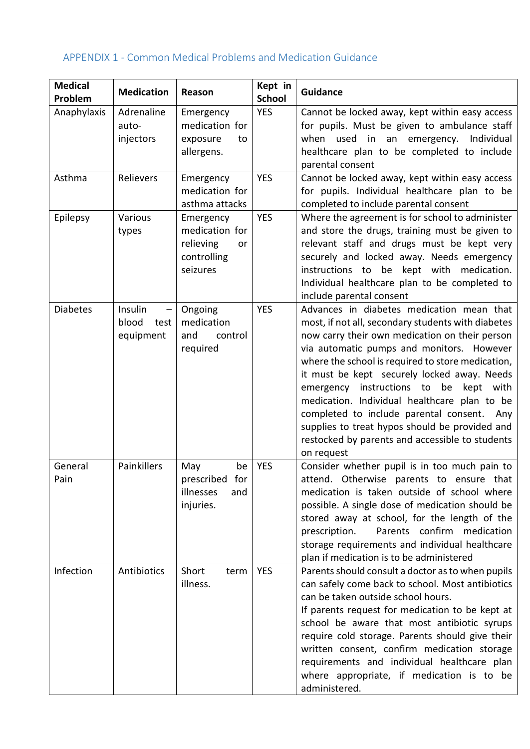### <span id="page-19-0"></span>APPENDIX 1 - Common Medical Problems and Medication Guidance

| <b>Medical</b><br>Problem | <b>Medication</b>                     | Reason                                                                    | Kept in<br><b>School</b> | <b>Guidance</b>                                                                                                                                                                                                                                                                                                                                                                                                                                                                                                                                               |
|---------------------------|---------------------------------------|---------------------------------------------------------------------------|--------------------------|---------------------------------------------------------------------------------------------------------------------------------------------------------------------------------------------------------------------------------------------------------------------------------------------------------------------------------------------------------------------------------------------------------------------------------------------------------------------------------------------------------------------------------------------------------------|
| Anaphylaxis               | Adrenaline<br>auto-<br>injectors      | Emergency<br>medication for<br>exposure<br>to<br>allergens.               | <b>YES</b>               | Cannot be locked away, kept within easy access<br>for pupils. Must be given to ambulance staff<br>when used in an emergency. Individual<br>healthcare plan to be completed to include<br>parental consent                                                                                                                                                                                                                                                                                                                                                     |
| Asthma                    | Relievers                             | Emergency<br>medication for<br>asthma attacks                             | <b>YES</b>               | Cannot be locked away, kept within easy access<br>for pupils. Individual healthcare plan to be<br>completed to include parental consent                                                                                                                                                                                                                                                                                                                                                                                                                       |
| Epilepsy                  | Various<br>types                      | Emergency<br>medication for<br>relieving<br>or<br>controlling<br>seizures | <b>YES</b>               | Where the agreement is for school to administer<br>and store the drugs, training must be given to<br>relevant staff and drugs must be kept very<br>securely and locked away. Needs emergency<br>instructions to be kept with medication.<br>Individual healthcare plan to be completed to<br>include parental consent                                                                                                                                                                                                                                         |
| <b>Diabetes</b>           | Insulin<br>blood<br>test<br>equipment | Ongoing<br>medication<br>and<br>control<br>required                       | <b>YES</b>               | Advances in diabetes medication mean that<br>most, if not all, secondary students with diabetes<br>now carry their own medication on their person<br>via automatic pumps and monitors. However<br>where the school is required to store medication,<br>it must be kept securely locked away. Needs<br>emergency instructions to be kept with<br>medication. Individual healthcare plan to be<br>completed to include parental consent. Any<br>supplies to treat hypos should be provided and<br>restocked by parents and accessible to students<br>on request |
| General<br>Pain           | Painkillers                           | May<br>be<br>prescribed for<br>illnesses<br>and<br>injuries.              | <b>YES</b>               | Consider whether pupil is in too much pain to<br>attend. Otherwise parents to ensure that<br>medication is taken outside of school where<br>possible. A single dose of medication should be<br>stored away at school, for the length of the<br>Parents confirm medication<br>prescription.<br>storage requirements and individual healthcare<br>plan if medication is to be administered                                                                                                                                                                      |
| Infection                 | Antibiotics                           | Short<br>term<br>illness.                                                 | <b>YES</b>               | Parents should consult a doctor as to when pupils<br>can safely come back to school. Most antibiotics<br>can be taken outside school hours.<br>If parents request for medication to be kept at<br>school be aware that most antibiotic syrups<br>require cold storage. Parents should give their<br>written consent, confirm medication storage<br>requirements and individual healthcare plan<br>where appropriate, if medication is to be<br>administered.                                                                                                  |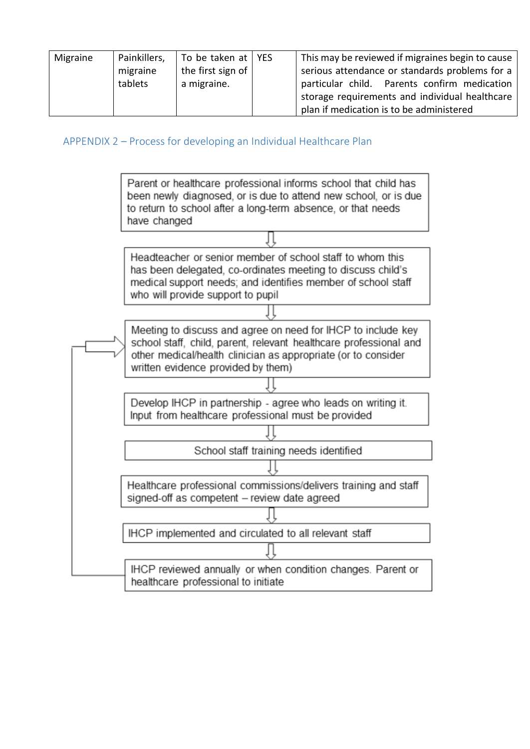| Migraine | Painkillers,<br>migraine<br>tablets | To be taken at   YES<br>the first sign of $ $<br>a migraine. | This may be reviewed if migraines begin to cause<br>serious attendance or standards problems for a<br>particular child. Parents confirm medication<br>storage requirements and individual healthcare |  |
|----------|-------------------------------------|--------------------------------------------------------------|------------------------------------------------------------------------------------------------------------------------------------------------------------------------------------------------------|--|
|          |                                     |                                                              | plan if medication is to be administered                                                                                                                                                             |  |

<span id="page-20-0"></span>APPENDIX 2 – Process for developing an Individual Healthcare Plan

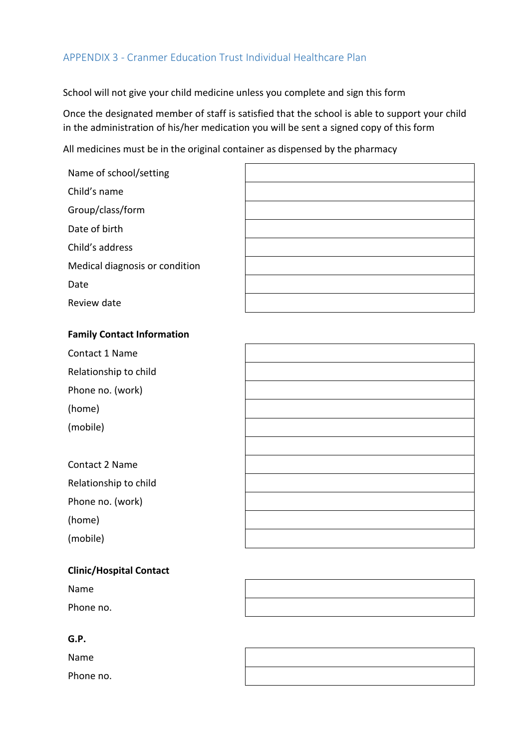#### <span id="page-21-0"></span>APPENDIX 3 - Cranmer Education Trust Individual Healthcare Plan

School will not give your child medicine unless you complete and sign this form

Once the designated member of staff is satisfied that the school is able to support your child in the administration of his/her medication you will be sent a signed copy of this form

All medicines must be in the original container as dispensed by the pharmacy

| Name of school/setting         |  |
|--------------------------------|--|
| Child's name                   |  |
| Group/class/form               |  |
| Date of birth                  |  |
| Child's address                |  |
| Medical diagnosis or condition |  |
| Date                           |  |
| Review date                    |  |

#### **Family Contact Information**

| Contact 1 Name        |  |
|-----------------------|--|
| Relationship to child |  |
| Phone no. (work)      |  |
| (home)                |  |
| (mobile)              |  |
|                       |  |
| Contact 2 Name        |  |
| Relationship to child |  |
| Phone no. (work)      |  |
| (home)                |  |
| (mobile)              |  |
|                       |  |

| <b>Clinic/Hospital Contact</b> |  |  |  |
|--------------------------------|--|--|--|
| Name                           |  |  |  |
| Phone no.                      |  |  |  |

#### **G.P.**

Name

Phone no.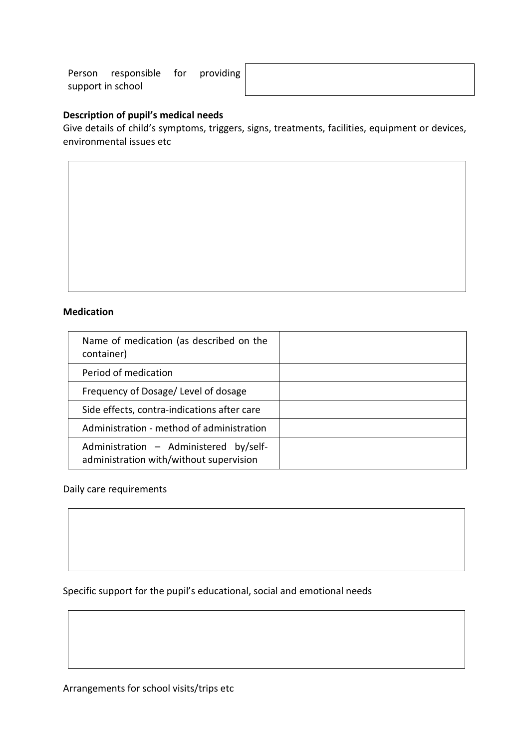Person responsible for providing support in school

#### **Description of pupil's medical needs**

Give details of child's symptoms, triggers, signs, treatments, facilities, equipment or devices, environmental issues etc

#### **Medication**

| Name of medication (as described on the<br>container)                             |  |
|-----------------------------------------------------------------------------------|--|
| Period of medication                                                              |  |
| Frequency of Dosage/ Level of dosage                                              |  |
| Side effects, contra-indications after care                                       |  |
| Administration - method of administration                                         |  |
| Administration - Administered by/self-<br>administration with/without supervision |  |

#### Daily care requirements

Specific support for the pupil's educational, social and emotional needs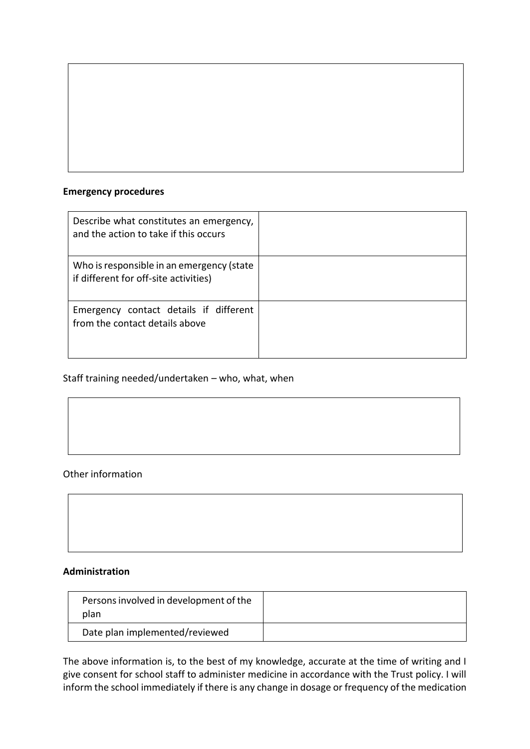#### **Emergency procedures**

| Describe what constitutes an emergency,<br>and the action to take if this occurs   |  |
|------------------------------------------------------------------------------------|--|
| Who is responsible in an emergency (state<br>if different for off-site activities) |  |
| Emergency contact details if different<br>from the contact details above           |  |

#### Staff training needed/undertaken – who, what, when

#### Other information

#### **Administration**

| Persons involved in development of the<br>plan |  |
|------------------------------------------------|--|
| Date plan implemented/reviewed                 |  |

The above information is, to the best of my knowledge, accurate at the time of writing and I give consent for school staff to administer medicine in accordance with the Trust policy. I will inform the school immediately if there is any change in dosage or frequency of the medication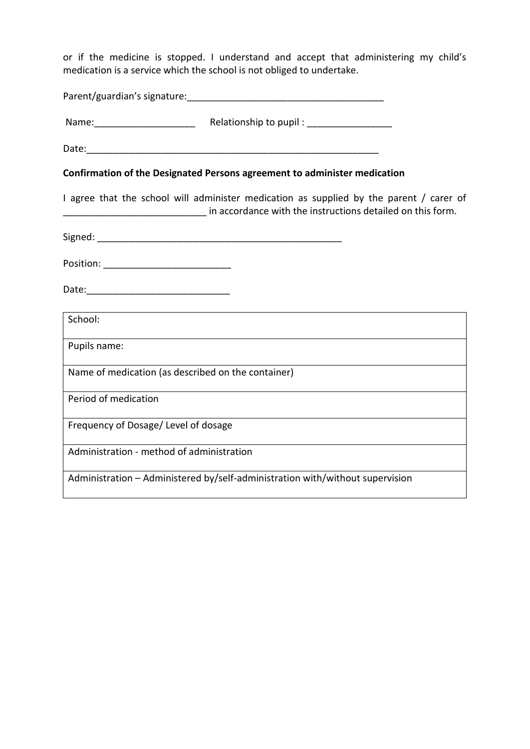or if the medicine is stopped. I understand and accept that administering my child's medication is a service which the school is not obliged to undertake.

| Confirmation of the Designated Persons agreement to administer medication                                                                             |
|-------------------------------------------------------------------------------------------------------------------------------------------------------|
| I agree that the school will administer medication as supplied by the parent / carer of<br>in accordance with the instructions detailed on this form. |
|                                                                                                                                                       |
| Position: _______________________________                                                                                                             |
|                                                                                                                                                       |
| School:                                                                                                                                               |
| Pupils name:                                                                                                                                          |
| Name of medication (as described on the container)                                                                                                    |
| Period of medication                                                                                                                                  |
| Frequency of Dosage/Level of dosage                                                                                                                   |
| Administration - method of administration                                                                                                             |
| Administration - Administered by/self-administration with/without supervision                                                                         |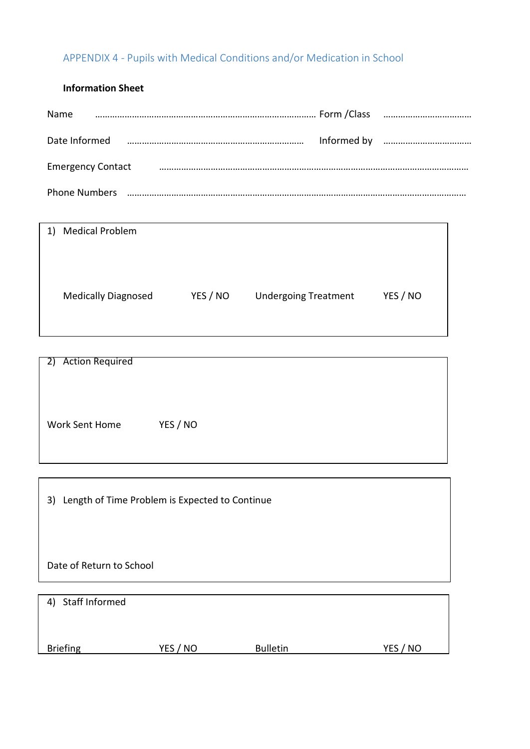## <span id="page-25-0"></span>APPENDIX 4 - Pupils with Medical Conditions and/or Medication in School

#### **Information Sheet**

| Name                     |  |  |
|--------------------------|--|--|
| Date Informed            |  |  |
| <b>Emergency Contact</b> |  |  |
| <b>Phone Numbers</b>     |  |  |

| 1) Medical Problem         |          |                             |          |
|----------------------------|----------|-----------------------------|----------|
|                            |          |                             |          |
|                            |          |                             |          |
|                            |          |                             |          |
| <b>Medically Diagnosed</b> | YES / NO | <b>Undergoing Treatment</b> | YES / NO |
|                            |          |                             |          |
|                            |          |                             |          |

 $\overline{\phantom{a}}$ 

| 2) Action Required |          |
|--------------------|----------|
|                    |          |
|                    |          |
|                    |          |
|                    |          |
|                    |          |
|                    |          |
|                    |          |
|                    |          |
|                    |          |
| Work Sent Home     | YES / NO |
|                    |          |
|                    |          |
|                    |          |
|                    |          |
|                    |          |

| 3) Length of Time Problem is Expected to Continue |  |
|---------------------------------------------------|--|
|---------------------------------------------------|--|

Date of Return to School

| 4) Staff Informed |          |                 |          |
|-------------------|----------|-----------------|----------|
| <b>Briefing</b>   | YES / NO | <b>Bulletin</b> | YES / NO |